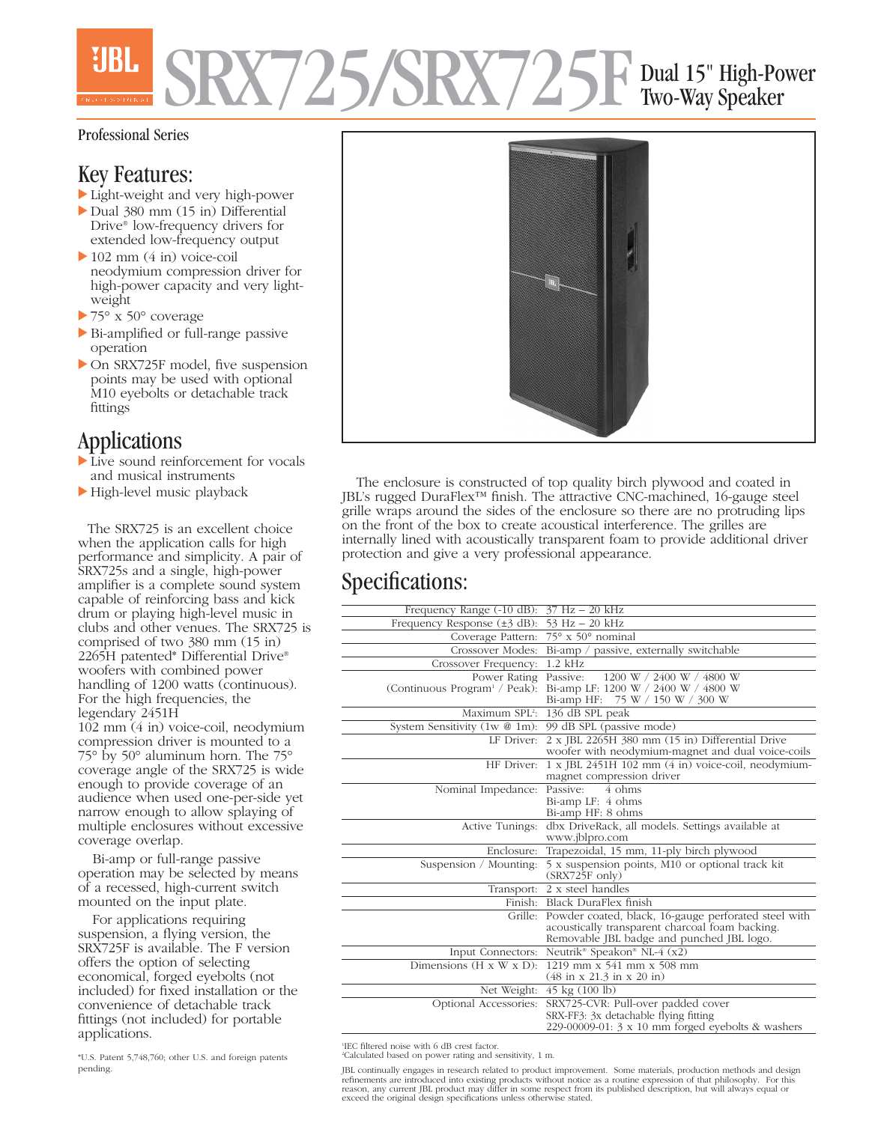# SRX725/SRX725F Dual 15" High-Power Two-Way Speaker

#### Professional Series

## Key Features:

- Light-weight and very high-power
- Dual 380 mm (15 in) Differential Drive® low-frequency drivers for extended low-frequency output
- 102 mm (4 in) voice-coil neodymium compression driver for high-power capacity and very lightweight
- 75° x 50° coverage
- Bi-amplified or full-range passive operation
- On SRX725F model, five suspension points may be used with optional M10 eyebolts or detachable track fittings

## Applications

- Live sound reinforcement for vocals and musical instruments
- High-level music playback

The SRX725 is an excellent choice when the application calls for high performance and simplicity. A pair of SRX725s and a single, high-power amplifier is a complete sound system capable of reinforcing bass and kick drum or playing high-level music in clubs and other venues. The SRX725 is comprised of two 380 mm (15 in) 2265H patented\* Differential Drive® woofers with combined power handling of 1200 watts (continuous). For the high frequencies, the legendary 2451H 102 mm (4 in) voice-coil, neodymium compression driver is mounted to a 75° by 50° aluminum horn. The 75° coverage angle of the SRX725 is wide enough to provide coverage of an audience when used one-per-side yet narrow enough to allow splaying of multiple enclosures without excessive

coverage overlap. Bi-amp or full-range passive operation may be selected by means of a recessed, high-current switch mounted on the input plate.

For applications requiring suspension, a flying version, the SRX725F is available. The F version offers the option of selecting economical, forged eyebolts (not included) for fixed installation or the convenience of detachable track fittings (not included) for portable applications.

\*U.S. Patent 5,748,760; other U.S. and foreign patents pending.



The enclosure is constructed of top quality birch plywood and coated in JBL's rugged DuraFlex™ finish. The attractive CNC-machined, 16-gauge steel grille wraps around the sides of the enclosure so there are no protruding lips on the front of the box to create acoustical interference. The grilles are internally lined with acoustically transparent foam to provide additional driver protection and give a very professional appearance.

## Specifications:

| Frequency Range $(-10 \text{ dB})$ : $37 \text{ Hz} - 20 \text{ kHz}$ |                                                                                                                                                      |
|-----------------------------------------------------------------------|------------------------------------------------------------------------------------------------------------------------------------------------------|
| Frequency Response $(\pm 3$ dB):                                      | 53 Hz - 20 kHz                                                                                                                                       |
| Coverage Pattern:                                                     | $75^\circ$ x $50^\circ$ nominal                                                                                                                      |
| Crossover Modes:                                                      | Bi-amp / passive, externally switchable                                                                                                              |
| Crossover Frequency:                                                  | $1.2$ kHz                                                                                                                                            |
| Power Rating                                                          | 1200 W / 2400 W / 4800 W<br>Passive:                                                                                                                 |
| (Continuous Program <sup>1</sup> / Peak):                             | Bi-amp LF: 1200 W / 2400 W / 4800 W                                                                                                                  |
|                                                                       | Bi-amp HF: 75 W / 150 W / 300 W                                                                                                                      |
| Maximum SPL <sup>2</sup> :                                            | 136 dB SPL peak                                                                                                                                      |
| System Sensitivity (1w @ 1m): 99 dB SPL (passive mode)                |                                                                                                                                                      |
| LF Driver:                                                            | 2 x JBL 2265H 380 mm (15 in) Differential Drive<br>woofer with neodymium-magnet and dual voice-coils                                                 |
|                                                                       | HF Driver: 1 x JBL 2451H 102 mm (4 in) voice-coil, neodymium-<br>magnet compression driver                                                           |
| Nominal Impedance:                                                    | Passive:<br>4 ohms                                                                                                                                   |
|                                                                       | Bi-amp LF: 4 ohms                                                                                                                                    |
|                                                                       | Bi-amp HF: 8 ohms                                                                                                                                    |
| Active Tunings:                                                       | dbx DriveRack, all models. Settings available at                                                                                                     |
|                                                                       | www.jblpro.com                                                                                                                                       |
| Enclosure:                                                            | Trapezoidal, 15 mm, 11-ply birch plywood                                                                                                             |
| Suspension / Mounting:                                                | 5 x suspension points, M10 or optional track kit<br>$(SRX725F \text{ only})$                                                                         |
|                                                                       | Transport: 2 x steel handles                                                                                                                         |
|                                                                       | Finish: Black DuraFlex finish                                                                                                                        |
| Grille:                                                               | Powder coated, black, 16-gauge perforated steel with<br>acoustically transparent charcoal foam backing.<br>Removable JBL badge and punched JBL logo. |
| Input Connectors:                                                     | Neutrik <sup>®</sup> Speakon® NL-4 (x2)                                                                                                              |
| Dimensions $(H \times W \times D)$ :                                  | 1219 mm x 541 mm x 508 mm<br>$(48 \text{ in } x 21.3 \text{ in } x 20 \text{ in})$                                                                   |
| Net Weight:                                                           | $45 \text{ kg} (100 \text{ lb})$                                                                                                                     |
| Optional Accessories:                                                 | SRX725-CVR: Pull-over padded cover                                                                                                                   |
|                                                                       | SRX-FF3: 3x detachable flying fitting                                                                                                                |
|                                                                       | 229-00009-01: $3 \times 10$ mm forged eyebolts & washers                                                                                             |

1 IEC filtered noise with 6 dB crest factor. 2 Calculated based on power rating and sensitivity, 1 m.

JBL continually engages in research related to product improvement. Some materials, production methods and design refinements are introduced into existing products without notice as a routine expression of that philosophy. For this<br>reason, any current JBL product may differ in some respect from its published description, but will alwa